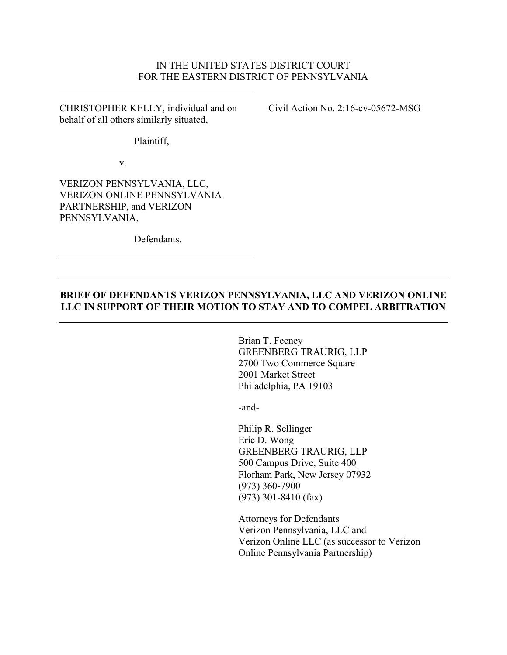### IN THE UNITED STATES DISTRICT COURT FOR THE EASTERN DISTRICT OF PENNSYLVANIA

CHRISTOPHER KELLY, individual and on behalf of all others similarly situated,

Civil Action No. 2:16-cv-05672-MSG

Plaintiff,

v.

VERIZON PENNSYLVANIA, LLC, VERIZON ONLINE PENNSYLVANIA PARTNERSHIP, and VERIZON PENNSYLVANIA,

Defendants.

## **BRIEF OF DEFENDANTS VERIZON PENNSYLVANIA, LLC AND VERIZON ONLINE LLC IN SUPPORT OF THEIR MOTION TO STAY AND TO COMPEL ARBITRATION**

Brian T. Feeney GREENBERG TRAURIG, LLP 2700 Two Commerce Square 2001 Market Street Philadelphia, PA 19103

-and-

Philip R. Sellinger Eric D. Wong GREENBERG TRAURIG, LLP 500 Campus Drive, Suite 400 Florham Park, New Jersey 07932 (973) 360-7900 (973) 301-8410 (fax)

Attorneys for Defendants Verizon Pennsylvania, LLC and Verizon Online LLC (as successor to Verizon Online Pennsylvania Partnership)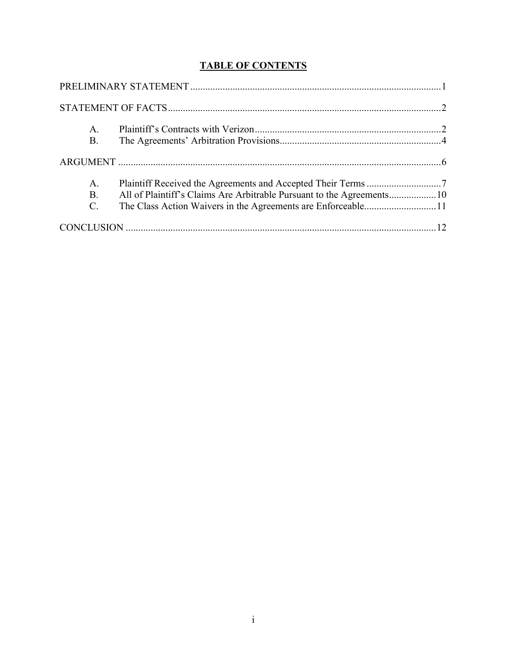# **TABLE OF CONTENTS**

| A.              |  |
|-----------------|--|
| <b>B.</b>       |  |
|                 |  |
| A.              |  |
| <b>B</b> .      |  |
| $\mathcal{C}$ . |  |
|                 |  |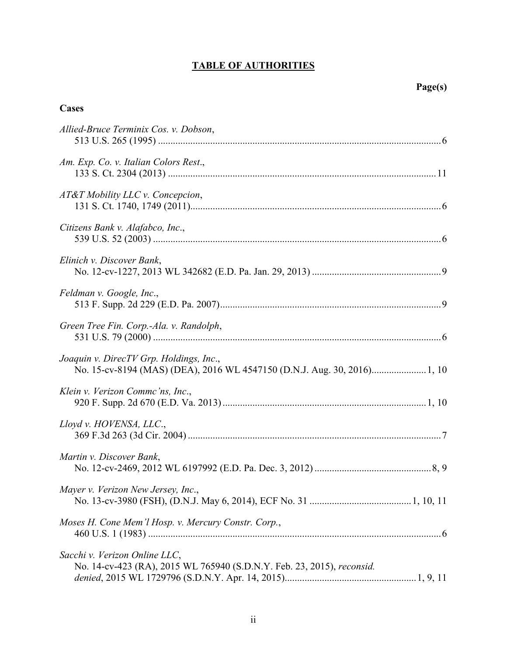# **TABLE OF AUTHORITIES**

# **Cases**

| Allied-Bruce Terminix Cos. v. Dobson,                                                                               |  |
|---------------------------------------------------------------------------------------------------------------------|--|
| Am. Exp. Co. v. Italian Colors Rest.,                                                                               |  |
| AT&T Mobility LLC v. Concepcion,                                                                                    |  |
| Citizens Bank v. Alafabco, Inc.,                                                                                    |  |
| Elinich v. Discover Bank,                                                                                           |  |
| Feldman v. Google, Inc.,                                                                                            |  |
| Green Tree Fin. Corp.-Ala. v. Randolph,                                                                             |  |
| Joaquin v. DirecTV Grp. Holdings, Inc.,<br>No. 15-cv-8194 (MAS) (DEA), 2016 WL 4547150 (D.N.J. Aug. 30, 2016) 1, 10 |  |
| Klein v. Verizon Commc'ns, Inc.,                                                                                    |  |
| Lloyd v. HOVENSA, LLC.,                                                                                             |  |
| Martin v. Discover Bank,                                                                                            |  |
| Mayer v. Verizon New Jersey, Inc.,                                                                                  |  |
| Moses H. Cone Mem'l Hosp. v. Mercury Constr. Corp.,                                                                 |  |
| Sacchi v. Verizon Online LLC,<br>No. 14-cv-423 (RA), 2015 WL 765940 (S.D.N.Y. Feb. 23, 2015), reconsid.             |  |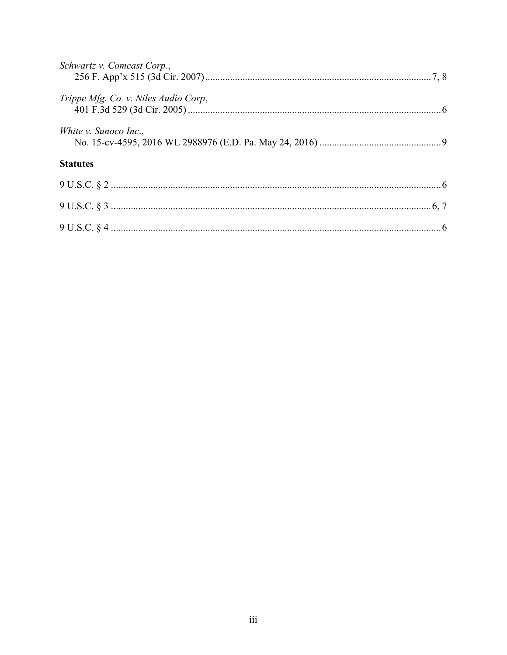| Schwartz v. Comcast Corp.,           |  |
|--------------------------------------|--|
| Trippe Mfg. Co. v. Niles Audio Corp, |  |
| <i>White v. Sunoco Inc.,</i>         |  |
| <b>Statutes</b>                      |  |
|                                      |  |
| 9 U.S.C. § 3                         |  |
|                                      |  |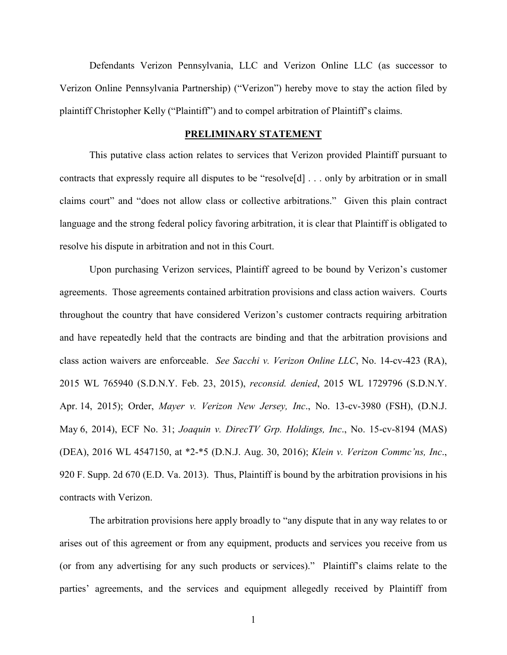Defendants Verizon Pennsylvania, LLC and Verizon Online LLC (as successor to Verizon Online Pennsylvania Partnership) ("Verizon") hereby move to stay the action filed by plaintiff Christopher Kelly ("Plaintiff") and to compel arbitration of Plaintiff's claims.

#### **PRELIMINARY STATEMENT**

This putative class action relates to services that Verizon provided Plaintiff pursuant to contracts that expressly require all disputes to be "resolve[d] . . . only by arbitration or in small claims court" and "does not allow class or collective arbitrations." Given this plain contract language and the strong federal policy favoring arbitration, it is clear that Plaintiff is obligated to resolve his dispute in arbitration and not in this Court.

Upon purchasing Verizon services, Plaintiff agreed to be bound by Verizon's customer agreements. Those agreements contained arbitration provisions and class action waivers. Courts throughout the country that have considered Verizon's customer contracts requiring arbitration and have repeatedly held that the contracts are binding and that the arbitration provisions and class action waivers are enforceable. *See Sacchi v. Verizon Online LLC*, No. 14-cv-423 (RA), 2015 WL 765940 (S.D.N.Y. Feb. 23, 2015), *reconsid. denied*, 2015 WL 1729796 (S.D.N.Y. Apr. 14, 2015); Order, *Mayer v. Verizon New Jersey, Inc*., No. 13-cv-3980 (FSH), (D.N.J. May 6, 2014), ECF No. 31; *Joaquin v. DirecTV Grp. Holdings, Inc*., No. 15-cv-8194 (MAS) (DEA), 2016 WL 4547150, at \*2-\*5 (D.N.J. Aug. 30, 2016); *Klein v. Verizon Commc'ns, Inc*., 920 F. Supp. 2d 670 (E.D. Va. 2013). Thus, Plaintiff is bound by the arbitration provisions in his contracts with Verizon.

The arbitration provisions here apply broadly to "any dispute that in any way relates to or arises out of this agreement or from any equipment, products and services you receive from us (or from any advertising for any such products or services)." Plaintiff's claims relate to the parties' agreements, and the services and equipment allegedly received by Plaintiff from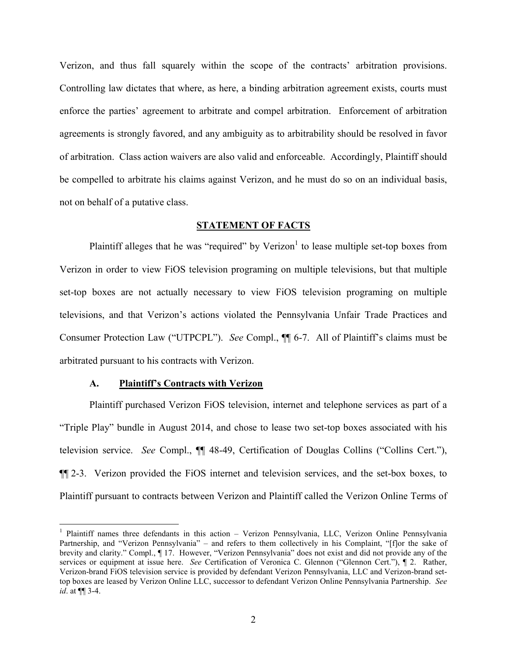Verizon, and thus fall squarely within the scope of the contracts' arbitration provisions. Controlling law dictates that where, as here, a binding arbitration agreement exists, courts must enforce the parties' agreement to arbitrate and compel arbitration. Enforcement of arbitration agreements is strongly favored, and any ambiguity as to arbitrability should be resolved in favor of arbitration. Class action waivers are also valid and enforceable. Accordingly, Plaintiff should be compelled to arbitrate his claims against Verizon, and he must do so on an individual basis, not on behalf of a putative class.

#### **STATEMENT OF FACTS**

Plaintiff alleges that he was "required" by Verizon<sup>1</sup> to lease multiple set-top boxes from Verizon in order to view FiOS television programing on multiple televisions, but that multiple set-top boxes are not actually necessary to view FiOS television programing on multiple televisions, and that Verizon's actions violated the Pennsylvania Unfair Trade Practices and Consumer Protection Law ("UTPCPL"). *See* Compl., ¶¶ 6-7. All of Plaintiff's claims must be arbitrated pursuant to his contracts with Verizon.

#### **A. Plaintiff's Contracts with Verizon**

 $\overline{a}$ 

Plaintiff purchased Verizon FiOS television, internet and telephone services as part of a "Triple Play" bundle in August 2014, and chose to lease two set-top boxes associated with his television service. *See* Compl., ¶¶ 48-49, Certification of Douglas Collins ("Collins Cert."), ¶¶ 2-3. Verizon provided the FiOS internet and television services, and the set-box boxes, to Plaintiff pursuant to contracts between Verizon and Plaintiff called the Verizon Online Terms of

<sup>&</sup>lt;sup>1</sup> Plaintiff names three defendants in this action – Verizon Pennsylvania, LLC, Verizon Online Pennsylvania Partnership, and "Verizon Pennsylvania" – and refers to them collectively in his Complaint, "[f]or the sake of brevity and clarity." Compl., ¶ 17. However, "Verizon Pennsylvania" does not exist and did not provide any of the services or equipment at issue here. *See* Certification of Veronica C. Glennon ("Glennon Cert."), ¶ 2. Rather, Verizon-brand FiOS television service is provided by defendant Verizon Pennsylvania, LLC and Verizon-brand settop boxes are leased by Verizon Online LLC, successor to defendant Verizon Online Pennsylvania Partnership. *See id*. at ¶¶ 3-4.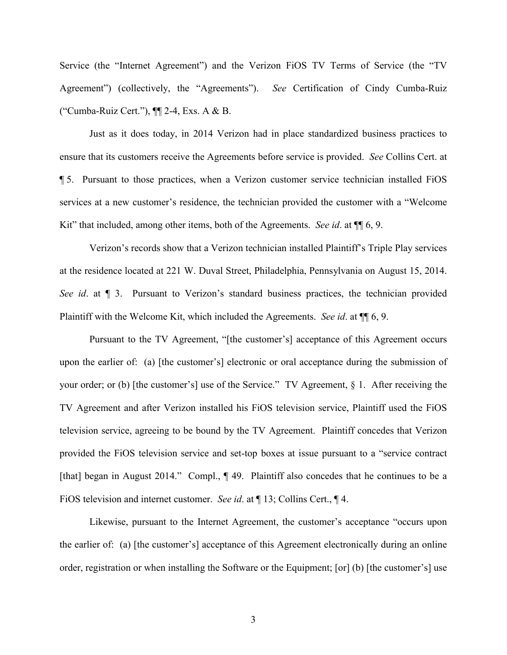Service (the "Internet Agreement") and the Verizon FiOS TV Terms of Service (the "TV Agreement") (collectively, the "Agreements"). *See* Certification of Cindy Cumba-Ruiz ("Cumba-Ruiz Cert."), ¶¶ 2-4, Exs. A & B.

Just as it does today, in 2014 Verizon had in place standardized business practices to ensure that its customers receive the Agreements before service is provided. *See* Collins Cert. at ¶ 5. Pursuant to those practices, when a Verizon customer service technician installed FiOS services at a new customer's residence, the technician provided the customer with a "Welcome Kit" that included, among other items, both of the Agreements. *See id*. at ¶¶ 6, 9.

Verizon's records show that a Verizon technician installed Plaintiff's Triple Play services at the residence located at 221 W. Duval Street, Philadelphia, Pennsylvania on August 15, 2014. *See id*. at ¶ 3. Pursuant to Verizon's standard business practices, the technician provided Plaintiff with the Welcome Kit, which included the Agreements. *See id*. at ¶¶ 6, 9.

Pursuant to the TV Agreement, "[the customer's] acceptance of this Agreement occurs upon the earlier of: (a) [the customer's] electronic or oral acceptance during the submission of your order; or (b) [the customer's] use of the Service." TV Agreement, § 1. After receiving the TV Agreement and after Verizon installed his FiOS television service, Plaintiff used the FiOS television service, agreeing to be bound by the TV Agreement. Plaintiff concedes that Verizon provided the FiOS television service and set-top boxes at issue pursuant to a "service contract [that] began in August 2014." Compl.,  $\P$  49. Plaintiff also concedes that he continues to be a FiOS television and internet customer. *See id*. at ¶ 13; Collins Cert., ¶ 4.

Likewise, pursuant to the Internet Agreement, the customer's acceptance "occurs upon the earlier of: (a) [the customer's] acceptance of this Agreement electronically during an online order, registration or when installing the Software or the Equipment; [or] (b) [the customer's] use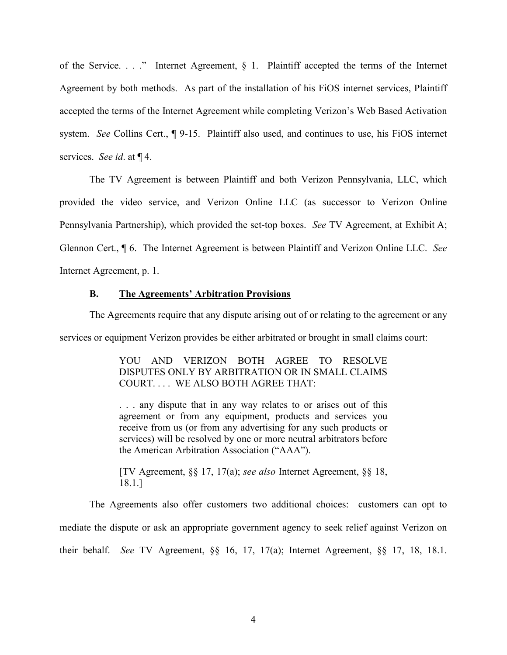of the Service. . . ." Internet Agreement, § 1. Plaintiff accepted the terms of the Internet Agreement by both methods. As part of the installation of his FiOS internet services, Plaintiff accepted the terms of the Internet Agreement while completing Verizon's Web Based Activation system. *See* Collins Cert., ¶ 9-15. Plaintiff also used, and continues to use, his FiOS internet services. *See id*. at ¶ 4.

The TV Agreement is between Plaintiff and both Verizon Pennsylvania, LLC, which provided the video service, and Verizon Online LLC (as successor to Verizon Online Pennsylvania Partnership), which provided the set-top boxes. *See* TV Agreement, at Exhibit A; Glennon Cert., ¶ 6. The Internet Agreement is between Plaintiff and Verizon Online LLC. *See* Internet Agreement, p. 1.

**B. The Agreements' Arbitration Provisions**

The Agreements require that any dispute arising out of or relating to the agreement or any

services or equipment Verizon provides be either arbitrated or brought in small claims court:

YOU AND VERIZON BOTH AGREE TO RESOLVE DISPUTES ONLY BY ARBITRATION OR IN SMALL CLAIMS COURT. . . . WE ALSO BOTH AGREE THAT:

. . . any dispute that in any way relates to or arises out of this agreement or from any equipment, products and services you receive from us (or from any advertising for any such products or services) will be resolved by one or more neutral arbitrators before the American Arbitration Association ("AAA").

[TV Agreement, §§ 17, 17(a); *see also* Internet Agreement, §§ 18, 18.1.]

The Agreements also offer customers two additional choices: customers can opt to mediate the dispute or ask an appropriate government agency to seek relief against Verizon on their behalf. *See* TV Agreement, §§ 16, 17, 17(a); Internet Agreement, §§ 17, 18, 18.1.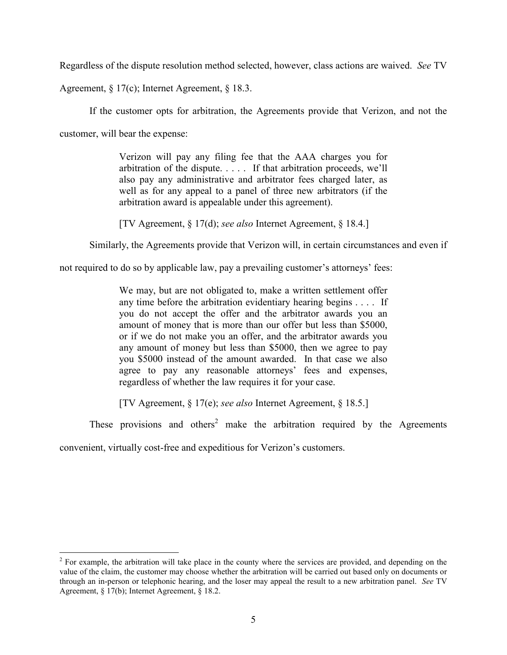Regardless of the dispute resolution method selected, however, class actions are waived. *See* TV

Agreement, § 17(c); Internet Agreement, § 18.3.

If the customer opts for arbitration, the Agreements provide that Verizon, and not the

customer, will bear the expense:

 $\overline{a}$ 

Verizon will pay any filing fee that the AAA charges you for arbitration of the dispute. . . . . If that arbitration proceeds, we'll also pay any administrative and arbitrator fees charged later, as well as for any appeal to a panel of three new arbitrators (if the arbitration award is appealable under this agreement).

[TV Agreement, § 17(d); *see also* Internet Agreement, § 18.4.]

Similarly, the Agreements provide that Verizon will, in certain circumstances and even if

not required to do so by applicable law, pay a prevailing customer's attorneys' fees:

We may, but are not obligated to, make a written settlement offer any time before the arbitration evidentiary hearing begins . . . . If you do not accept the offer and the arbitrator awards you an amount of money that is more than our offer but less than \$5000, or if we do not make you an offer, and the arbitrator awards you any amount of money but less than \$5000, then we agree to pay you \$5000 instead of the amount awarded. In that case we also agree to pay any reasonable attorneys' fees and expenses, regardless of whether the law requires it for your case.

[TV Agreement, § 17(e); *see also* Internet Agreement, § 18.5.]

These provisions and others<sup>2</sup> make the arbitration required by the Agreements

convenient, virtually cost-free and expeditious for Verizon's customers.

 $2^2$  For example, the arbitration will take place in the county where the services are provided, and depending on the value of the claim, the customer may choose whether the arbitration will be carried out based only on documents or through an in-person or telephonic hearing, and the loser may appeal the result to a new arbitration panel. *See* TV Agreement, § 17(b); Internet Agreement, § 18.2.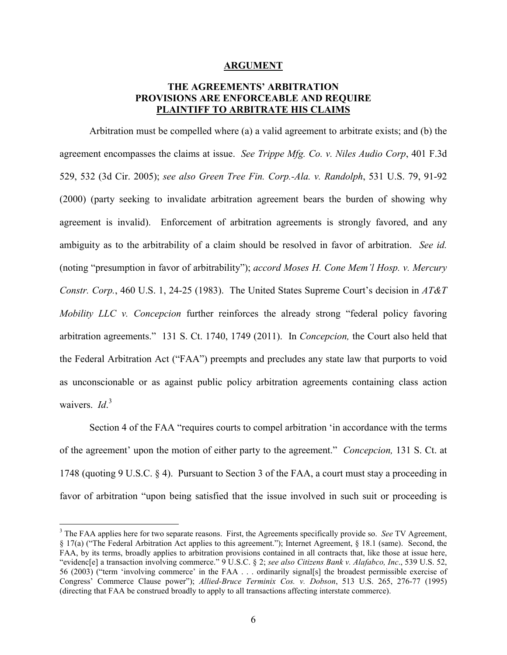#### **ARGUMENT**

## **THE AGREEMENTS' ARBITRATION PROVISIONS ARE ENFORCEABLE AND REQUIRE PLAINTIFF TO ARBITRATE HIS CLAIMS**

Arbitration must be compelled where (a) a valid agreement to arbitrate exists; and (b) the agreement encompasses the claims at issue. *See Trippe Mfg. Co. v. Niles Audio Corp*, 401 F.3d 529, 532 (3d Cir. 2005); *see also Green Tree Fin. Corp.-Ala. v. Randolph*, 531 U.S. 79, 91-92 (2000) (party seeking to invalidate arbitration agreement bears the burden of showing why agreement is invalid). Enforcement of arbitration agreements is strongly favored, and any ambiguity as to the arbitrability of a claim should be resolved in favor of arbitration. *See id.*  (noting "presumption in favor of arbitrability"); *accord Moses H. Cone Mem'l Hosp. v. Mercury Constr. Corp.*, 460 U.S. 1, 24-25 (1983). The United States Supreme Court's decision in *AT&T Mobility LLC v. Concepcion* further reinforces the already strong "federal policy favoring arbitration agreements." 131 S. Ct. 1740, 1749 (2011). In *Concepcion,* the Court also held that the Federal Arbitration Act ("FAA") preempts and precludes any state law that purports to void as unconscionable or as against public policy arbitration agreements containing class action waivers. *Id*.<sup>3</sup>

Section 4 of the FAA "requires courts to compel arbitration 'in accordance with the terms of the agreement' upon the motion of either party to the agreement." *Concepcion,* 131 S. Ct. at 1748 (quoting 9 U.S.C. § 4). Pursuant to Section 3 of the FAA, a court must stay a proceeding in favor of arbitration "upon being satisfied that the issue involved in such suit or proceeding is

 $\overline{a}$ 

<sup>3</sup> The FAA applies here for two separate reasons. First, the Agreements specifically provide so. *See* TV Agreement, § 17(a) ("The Federal Arbitration Act applies to this agreement."); Internet Agreement, § 18.1 (same). Second, the FAA, by its terms, broadly applies to arbitration provisions contained in all contracts that, like those at issue here, "evidenc[e] a transaction involving commerce." 9 U.S.C. § 2; *see also Citizens Bank v. Alafabco, Inc*., 539 U.S. 52, 56 (2003) ("term 'involving commerce' in the FAA . . . ordinarily signal[s] the broadest permissible exercise of Congress' Commerce Clause power"); *Allied-Bruce Terminix Cos. v. Dobson*, 513 U.S. 265, 276-77 (1995) (directing that FAA be construed broadly to apply to all transactions affecting interstate commerce).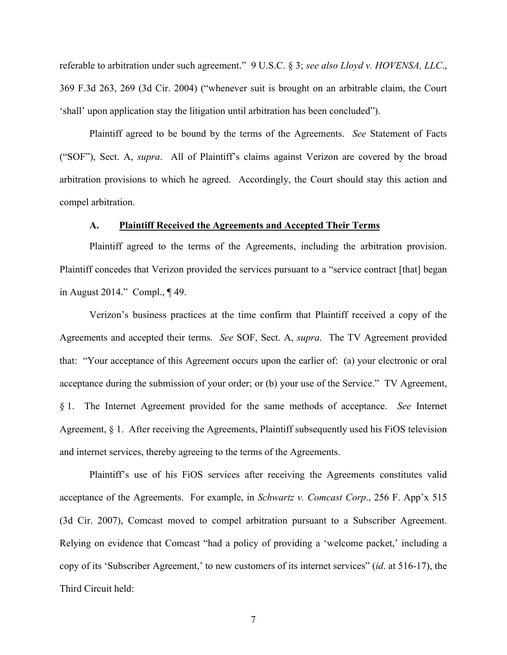referable to arbitration under such agreement." 9 U.S.C. § 3; *see also Lloyd v. HOVENSA, LLC*., 369 F.3d 263, 269 (3d Cir. 2004) ("whenever suit is brought on an arbitrable claim, the Court 'shall' upon application stay the litigation until arbitration has been concluded").

Plaintiff agreed to be bound by the terms of the Agreements. *See* Statement of Facts ("SOF"), Sect. A, *supra*. All of Plaintiff's claims against Verizon are covered by the broad arbitration provisions to which he agreed. Accordingly, the Court should stay this action and compel arbitration.

#### **A. Plaintiff Received the Agreements and Accepted Their Terms**

Plaintiff agreed to the terms of the Agreements, including the arbitration provision. Plaintiff concedes that Verizon provided the services pursuant to a "service contract [that] began in August 2014." Compl., ¶ 49.

Verizon's business practices at the time confirm that Plaintiff received a copy of the Agreements and accepted their terms. *See* SOF, Sect. A, *supra*. The TV Agreement provided that: "Your acceptance of this Agreement occurs upon the earlier of: (a) your electronic or oral acceptance during the submission of your order; or (b) your use of the Service." TV Agreement, § 1. The Internet Agreement provided for the same methods of acceptance. *See* Internet Agreement, § 1. After receiving the Agreements, Plaintiff subsequently used his FiOS television and internet services, thereby agreeing to the terms of the Agreements.

Plaintiff's use of his FiOS services after receiving the Agreements constitutes valid acceptance of the Agreements. For example, in *Schwartz v. Comcast Corp*., 256 F. App'x 515 (3d Cir. 2007), Comcast moved to compel arbitration pursuant to a Subscriber Agreement. Relying on evidence that Comcast "had a policy of providing a 'welcome packet,' including a copy of its 'Subscriber Agreement,' to new customers of its internet services" (*id*. at 516-17), the Third Circuit held: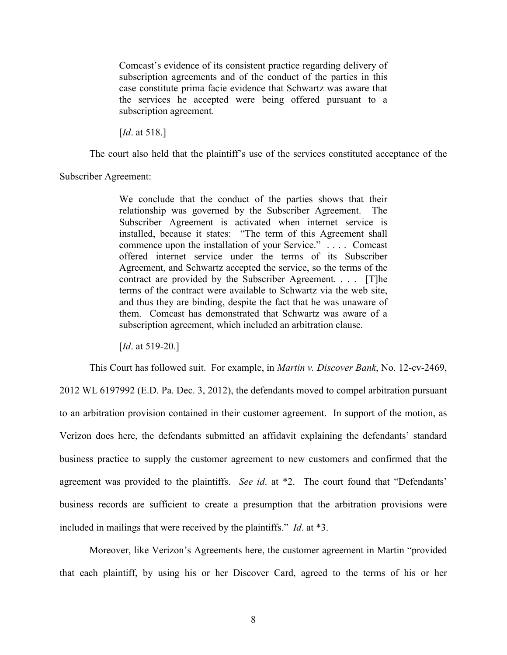Comcast's evidence of its consistent practice regarding delivery of subscription agreements and of the conduct of the parties in this case constitute prima facie evidence that Schwartz was aware that the services he accepted were being offered pursuant to a subscription agreement.

[*Id*. at 518.]

The court also held that the plaintiff's use of the services constituted acceptance of the

Subscriber Agreement:

We conclude that the conduct of the parties shows that their relationship was governed by the Subscriber Agreement. The Subscriber Agreement is activated when internet service is installed, because it states: "The term of this Agreement shall commence upon the installation of your Service." . . . . Comcast offered internet service under the terms of its Subscriber Agreement, and Schwartz accepted the service, so the terms of the contract are provided by the Subscriber Agreement. . . . [T]he terms of the contract were available to Schwartz via the web site, and thus they are binding, despite the fact that he was unaware of them. Comcast has demonstrated that Schwartz was aware of a subscription agreement, which included an arbitration clause.

[*Id.* at 519-20.]

This Court has followed suit. For example, in *Martin v. Discover Bank*, No. 12-cv-2469,

2012 WL 6197992 (E.D. Pa. Dec. 3, 2012), the defendants moved to compel arbitration pursuant to an arbitration provision contained in their customer agreement. In support of the motion, as Verizon does here, the defendants submitted an affidavit explaining the defendants' standard business practice to supply the customer agreement to new customers and confirmed that the agreement was provided to the plaintiffs. *See id*. at \*2. The court found that "Defendants' business records are sufficient to create a presumption that the arbitration provisions were included in mailings that were received by the plaintiffs." *Id*. at \*3.

Moreover, like Verizon's Agreements here, the customer agreement in Martin "provided that each plaintiff, by using his or her Discover Card, agreed to the terms of his or her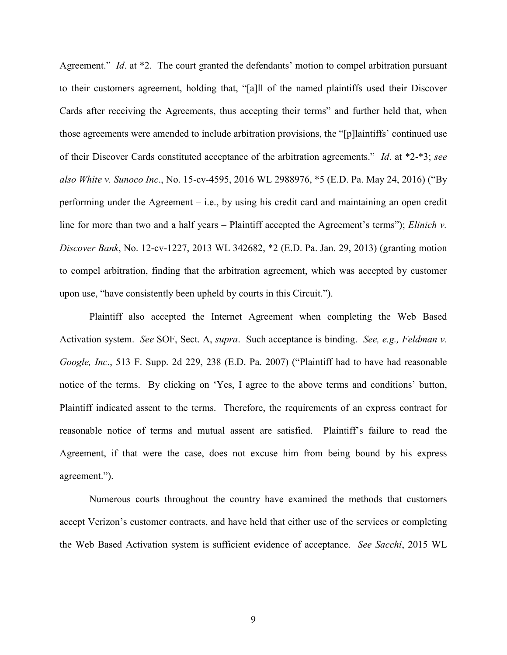Agreement." *Id*. at \*2. The court granted the defendants' motion to compel arbitration pursuant to their customers agreement, holding that, "[a]ll of the named plaintiffs used their Discover Cards after receiving the Agreements, thus accepting their terms" and further held that, when those agreements were amended to include arbitration provisions, the "[p]laintiffs' continued use of their Discover Cards constituted acceptance of the arbitration agreements." *Id*. at \*2-\*3; *see also White v. Sunoco Inc*., No. 15-cv-4595, 2016 WL 2988976, \*5 (E.D. Pa. May 24, 2016) ("By performing under the Agreement – i.e., by using his credit card and maintaining an open credit line for more than two and a half years – Plaintiff accepted the Agreement's terms"); *Elinich v. Discover Bank*, No. 12-cv-1227, 2013 WL 342682, \*2 (E.D. Pa. Jan. 29, 2013) (granting motion to compel arbitration, finding that the arbitration agreement, which was accepted by customer upon use, "have consistently been upheld by courts in this Circuit.").

Plaintiff also accepted the Internet Agreement when completing the Web Based Activation system. *See* SOF, Sect. A, *supra*. Such acceptance is binding. *See, e.g., Feldman v. Google, Inc*., 513 F. Supp. 2d 229, 238 (E.D. Pa. 2007) ("Plaintiff had to have had reasonable notice of the terms. By clicking on 'Yes, I agree to the above terms and conditions' button, Plaintiff indicated assent to the terms. Therefore, the requirements of an express contract for reasonable notice of terms and mutual assent are satisfied. Plaintiff's failure to read the Agreement, if that were the case, does not excuse him from being bound by his express agreement.").

Numerous courts throughout the country have examined the methods that customers accept Verizon's customer contracts, and have held that either use of the services or completing the Web Based Activation system is sufficient evidence of acceptance. *See Sacchi*, 2015 WL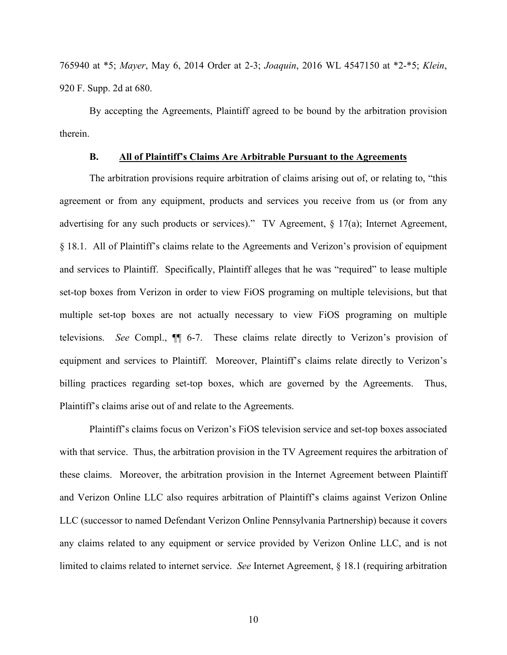765940 at \*5; *Mayer*, May 6, 2014 Order at 2-3; *Joaquin*, 2016 WL 4547150 at \*2-\*5; *Klein*, 920 F. Supp. 2d at 680.

By accepting the Agreements, Plaintiff agreed to be bound by the arbitration provision therein.

### **B. All of Plaintiff's Claims Are Arbitrable Pursuant to the Agreements**

The arbitration provisions require arbitration of claims arising out of, or relating to, "this agreement or from any equipment, products and services you receive from us (or from any advertising for any such products or services)." TV Agreement, § 17(a); Internet Agreement, § 18.1. All of Plaintiff's claims relate to the Agreements and Verizon's provision of equipment and services to Plaintiff. Specifically, Plaintiff alleges that he was "required" to lease multiple set-top boxes from Verizon in order to view FiOS programing on multiple televisions, but that multiple set-top boxes are not actually necessary to view FiOS programing on multiple televisions. *See* Compl., ¶¶ 6-7. These claims relate directly to Verizon's provision of equipment and services to Plaintiff. Moreover, Plaintiff's claims relate directly to Verizon's billing practices regarding set-top boxes, which are governed by the Agreements. Thus, Plaintiff's claims arise out of and relate to the Agreements.

Plaintiff's claims focus on Verizon's FiOS television service and set-top boxes associated with that service. Thus, the arbitration provision in the TV Agreement requires the arbitration of these claims. Moreover, the arbitration provision in the Internet Agreement between Plaintiff and Verizon Online LLC also requires arbitration of Plaintiff's claims against Verizon Online LLC (successor to named Defendant Verizon Online Pennsylvania Partnership) because it covers any claims related to any equipment or service provided by Verizon Online LLC, and is not limited to claims related to internet service. *See* Internet Agreement, § 18.1 (requiring arbitration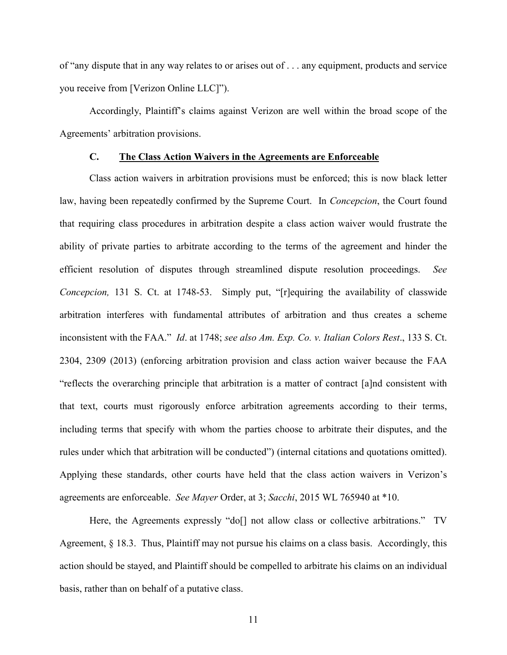of "any dispute that in any way relates to or arises out of . . . any equipment, products and service you receive from [Verizon Online LLC]").

Accordingly, Plaintiff's claims against Verizon are well within the broad scope of the Agreements' arbitration provisions.

### **C. The Class Action Waivers in the Agreements are Enforceable**

Class action waivers in arbitration provisions must be enforced; this is now black letter law, having been repeatedly confirmed by the Supreme Court. In *Concepcion*, the Court found that requiring class procedures in arbitration despite a class action waiver would frustrate the ability of private parties to arbitrate according to the terms of the agreement and hinder the efficient resolution of disputes through streamlined dispute resolution proceedings. *See Concepcion,* 131 S. Ct. at 1748-53. Simply put, "[r]equiring the availability of classwide arbitration interferes with fundamental attributes of arbitration and thus creates a scheme inconsistent with the FAA." *Id*. at 1748; *see also Am. Exp. Co. v. Italian Colors Rest*., 133 S. Ct. 2304, 2309 (2013) (enforcing arbitration provision and class action waiver because the FAA "reflects the overarching principle that arbitration is a matter of contract [a]nd consistent with that text, courts must rigorously enforce arbitration agreements according to their terms, including terms that specify with whom the parties choose to arbitrate their disputes, and the rules under which that arbitration will be conducted") (internal citations and quotations omitted). Applying these standards, other courts have held that the class action waivers in Verizon's agreements are enforceable. *See Mayer* Order, at 3; *Sacchi*, 2015 WL 765940 at \*10.

Here, the Agreements expressly "do[] not allow class or collective arbitrations." TV Agreement, § 18.3. Thus, Plaintiff may not pursue his claims on a class basis. Accordingly, this action should be stayed, and Plaintiff should be compelled to arbitrate his claims on an individual basis, rather than on behalf of a putative class.